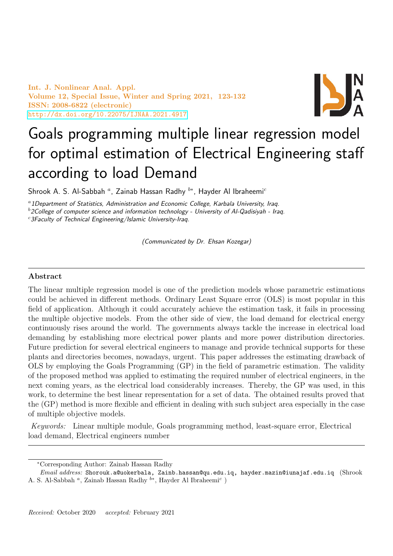Int. J. Nonlinear Anal. Appl. Volume 12, Special Issue, Winter and Spring 2021, 123-132 ISSN: 2008-6822 (electronic) <http://dx.doi.org/10.22075/IJNAA.2021.4917>



# Goals programming multiple linear regression model for optimal estimation of Electrical Engineering staff according to load Demand

Shrook A. S. Al-Sabbah  $^a$ , Zainab Hassan Radhy  $^{b*}$ , Hayder Al Ibraheemi $^c$ 

<sup>a</sup>1Department of Statistics, Administration and Economic College, Karbala University, Iraq.  $b$ 2College of computer science and information technology - University of Al-Qadisiyah - Iraq.

 $c<sup>c</sup>$ 3Faculty of Technical Engineering/Islamic University-Iraq.

(Communicated by Dr. Ehsan Kozegar)

## Abstract

The linear multiple regression model is one of the prediction models whose parametric estimations could be achieved in different methods. Ordinary Least Square error (OLS) is most popular in this field of application. Although it could accurately achieve the estimation task, it fails in processing the multiple objective models. From the other side of view, the load demand for electrical energy continuously rises around the world. The governments always tackle the increase in electrical load demanding by establishing more electrical power plants and more power distribution directories. Future prediction for several electrical engineers to manage and provide technical supports for these plants and directories becomes, nowadays, urgent. This paper addresses the estimating drawback of OLS by employing the Goals Programming (GP) in the field of parametric estimation. The validity of the proposed method was applied to estimating the required number of electrical engineers, in the next coming years, as the electrical load considerably increases. Thereby, the GP was used, in this work, to determine the best linear representation for a set of data. The obtained results proved that the (GP) method is more flexible and efficient in dealing with such subject area especially in the case of multiple objective models.

Keywords: Linear multiple module, Goals programming method, least-square error, Electrical load demand, Electrical engineers number

<sup>∗</sup>Corresponding Author: Zainab Hassan Radhy

Email address: Shorouk.a@uokerbala, Zainb.hassan@qu.edu.iq, hayder.mazin@iunajaf.edu.iq (Shrook A. S. Al-Sabbah<sup>a</sup>, Zainab Hassan Radhy<sup>b\*</sup>, Hayder Al Ibraheemi<sup>c</sup>)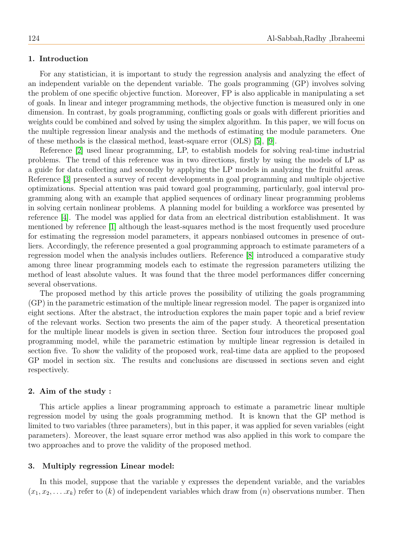#### 1. Introduction

For any statistician, it is important to study the regression analysis and analyzing the effect of an independent variable on the dependent variable. The goals programming (GP) involves solving the problem of one specific objective function. Moreover, FP is also applicable in manipulating a set of goals. In linear and integer programming methods, the objective function is measured only in one dimension. In contrast, by goals programming, conflicting goals or goals with different priorities and weights could be combined and solved by using the simplex algorithm. In this paper, we will focus on the multiple regression linear analysis and the methods of estimating the module parameters. One of these methods is the classical method, least-square error (OLS) [\[5\]](#page-9-0), [\[9\]](#page-9-1).

Reference [\[2\]](#page-8-0) used linear programming, LP, to establish models for solving real-time industrial problems. The trend of this reference was in two directions, firstly by using the models of LP as a guide for data collecting and secondly by applying the LP models in analyzing the fruitful areas. Reference [\[3\]](#page-8-1) presented a survey of recent developments in goal programming and multiple objective optimizations. Special attention was paid toward goal programming, particularly, goal interval programming along with an example that applied sequences of ordinary linear programming problems in solving certain nonlinear problems. A planning model for building a workforce was presented by reference [\[4\]](#page-8-2). The model was applied for data from an electrical distribution establishment. It was mentioned by reference [\[1\]](#page-8-3) although the least-squares method is the most frequently used procedure for estimating the regression model parameters, it appears nonbiased outcomes in presence of outliers. Accordingly, the reference presented a goal programming approach to estimate parameters of a regression model when the analysis includes outliers. Reference [\[8\]](#page-9-2) introduced a comparative study among three linear programming models each to estimate the regression parameters utilizing the method of least absolute values. It was found that the three model performances differ concerning several observations.

The proposed method by this article proves the possibility of utilizing the goals programming (GP) in the parametric estimation of the multiple linear regression model. The paper is organized into eight sections. After the abstract, the introduction explores the main paper topic and a brief review of the relevant works. Section two presents the aim of the paper study. A theoretical presentation for the multiple linear models is given in section three. Section four introduces the proposed goal programming model, while the parametric estimation by multiple linear regression is detailed in section five. To show the validity of the proposed work, real-time data are applied to the proposed GP model in section six. The results and conclusions are discussed in sections seven and eight respectively.

#### 2. Aim of the study :

This article applies a linear programming approach to estimate a parametric linear multiple regression model by using the goals programming method. It is known that the GP method is limited to two variables (three parameters), but in this paper, it was applied for seven variables (eight parameters). Moreover, the least square error method was also applied in this work to compare the two approaches and to prove the validity of the proposed method.

#### 3. Multiply regression Linear model:

In this model, suppose that the variable y expresses the dependent variable, and the variables  $(x_1, x_2, \ldots, x_k)$  refer to  $(k)$  of independent variables which draw from  $(n)$  observations number. Then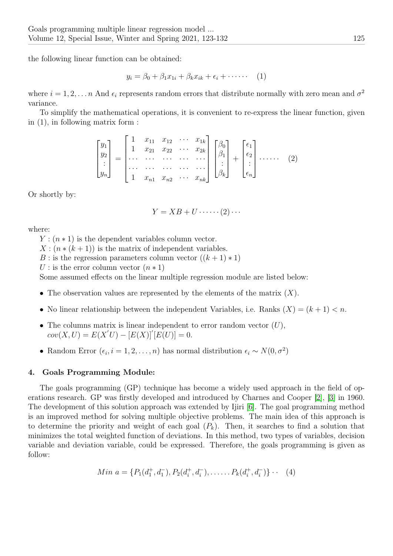the following linear function can be obtained:

$$
y_i = \beta_0 + \beta_1 x_{1i} + \beta_k x_{ik} + \epsilon_i + \cdots \qquad (1)
$$

where  $i = 1, 2, \ldots, n$  And  $\epsilon_i$  represents random errors that distribute normally with zero mean and  $\sigma^2$ variance.

To simplify the mathematical operations, it is convenient to re-express the linear function, given in (1), in following matrix form :

$$
\begin{bmatrix} y_1 \\ y_2 \\ \vdots \\ y_n \end{bmatrix} = \begin{bmatrix} 1 & x_{11} & x_{12} & \cdots & x_{1k} \\ 1 & x_{21} & x_{22} & \cdots & x_{2k} \\ \cdots & \cdots & \cdots & \cdots & \cdots \\ \cdots & \cdots & \cdots & \cdots & \cdots \\ 1 & x_{n1} & x_{n2} & \cdots & x_{nk} \end{bmatrix} \begin{bmatrix} \beta_0 \\ \beta_1 \\ \vdots \\ \beta_k \end{bmatrix} + \begin{bmatrix} \epsilon_1 \\ \epsilon_2 \\ \vdots \\ \epsilon_n \end{bmatrix} \cdots \cdots \qquad (2)
$$

Or shortly by:

$$
Y = XB + U \cdots (2) \cdots
$$

where:

 $Y: (n \times 1)$  is the dependent variables column vector.

 $X: (n * (k+1))$  is the matrix of independent variables.

B : is the regression parameters column vector  $((k+1)*1)$ 

U : is the error column vector  $(n * 1)$ 

Some assumed effects on the linear multiple regression module are listed below:

- The observation values are represented by the elements of the matrix  $(X)$ .
- No linear relationship between the independent Variables, i.e. Ranks  $(X) = (k + 1) < n$ .
- The columns matrix is linear independent to error random vector  $(U)$ ,  $cov(X, U) = E(X'U) - [E(X)]'[E(U)] = 0.$
- Random Error  $(\epsilon_i, i = 1, 2, ..., n)$  has normal distribution  $\epsilon_i \sim N(0, \sigma^2)$

# 4. Goals Programming Module:

The goals programming (GP) technique has become a widely used approach in the field of operations research. GP was firstly developed and introduced by Charnes and Cooper [\[2\]](#page-8-0), [\[3\]](#page-8-1) in 1960. The development of this solution approach was extended by Ijiri [\[6\]](#page-9-3). The goal programming method is an improved method for solving multiple objective problems. The main idea of this approach is to determine the priority and weight of each goal  $(P_k)$ . Then, it searches to find a solution that minimizes the total weighted function of deviations. In this method, two types of variables, decision variable and deviation variable, could be expressed. Therefore, the goals programming is given as follow:

$$
Min \ a = \{P_1(d_1^+, d_1^-), P_2(d_i^+, d_i^-), \dots \dots P_k(d_i^+, d_i^-)\} \cdot \quad (4)
$$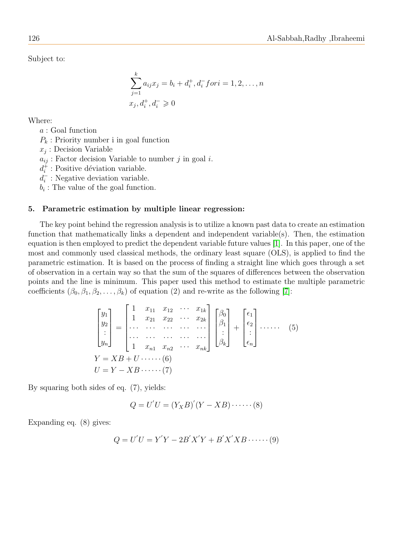Subject to:

$$
\sum_{j=1}^{k} a_{ij} x_j = b_i + d_i^+, d_i^- for i = 1, 2, ..., n
$$
  

$$
x_j, d_i^+, d_i^- \ge 0
$$

Where:

a : Goal function

 $P_k$ : Priority number i in goal function

 $x_j$ : Decision Variable

 $a_{ij}$ : Factor decision Variable to number j in goal i.

 $d_i^+$  $i<sub>i</sub>$ : Positive déviation variable.

 $\overline{d_i^-}$  $i_{i}$ : Negative deviation variable.

 $b_i$ : The value of the goal function.

#### 5. Parametric estimation by multiple linear regression:

The key point behind the regression analysis is to utilize a known past data to create an estimation function that mathematically links a dependent and independent variable(s). Then, the estimation equation is then employed to predict the dependent variable future values [\[1\]](#page-8-3). In this paper, one of the most and commonly used classical methods, the ordinary least square (OLS), is applied to find the parametric estimation. It is based on the process of finding a straight line which goes through a set of observation in a certain way so that the sum of the squares of differences between the observation points and the line is minimum. This paper used this method to estimate the multiple parametric coefficients  $(\beta_0, \beta_1, \beta_2, \dots, \beta_k)$  of equation (2) and re-write as the following [\[7\]](#page-9-4):

$$
\begin{bmatrix} y_1 \\ y_2 \\ \vdots \\ y_n \end{bmatrix} = \begin{bmatrix} 1 & x_{11} & x_{12} & \cdots & x_{1k} \\ 1 & x_{21} & x_{22} & \cdots & x_{2k} \\ \cdots & \cdots & \cdots & \cdots & \cdots \\ 1 & x_{n1} & x_{n2} & \cdots & x_{nk} \end{bmatrix} \begin{bmatrix} \beta_0 \\ \beta_1 \\ \vdots \\ \beta_k \end{bmatrix} + \begin{bmatrix} \epsilon_1 \\ \epsilon_2 \\ \vdots \\ \epsilon_n \end{bmatrix} \cdots \cdots (5)
$$
  
\n
$$
Y = XB + U \cdots (6)
$$
  
\n
$$
U = Y - XB \cdots (7)
$$

By squaring both sides of eq. (7), yields:

$$
Q = U'U = (Y_X B)'(Y - XB) \cdot \cdots \cdot (8)
$$

Expanding eq. (8) gives:

$$
Q = U'U = Y'Y - 2B'X'Y + B'X'XB \cdots (9)
$$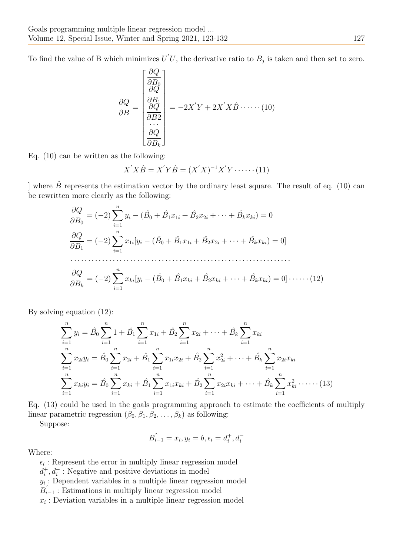To find the value of B which minimizes  $U'U$ , the derivative ratio to  $B_j$  is taken and then set to zero.

$$
\frac{\partial Q}{\partial B} = \begin{bmatrix} \frac{\partial Q}{\partial B_0} \\ \frac{\partial Q}{\partial B_1} \\ \frac{\partial Q}{\partial B_2} \\ \vdots \\ \frac{\partial Q}{\partial B_k} \end{bmatrix} = -2X'Y + 2X'X\hat{B}\cdot\dots \cdot (10)
$$

Eq. (10) can be written as the following:

$$
X'X\hat{B} = X'Y\hat{B} = (X'X)^{-1}X'Y \cdots \cdots (11)
$$

] where  $\hat{B}$  represents the estimation vector by the ordinary least square. The result of eq. (10) can be rewritten more clearly as the following:

$$
\frac{\partial Q}{\partial B_0} = (-2) \sum_{i=1}^n y_i - (\hat{B}_0 + \hat{B}_1 x_{1i} + \hat{B}_2 x_{2i} + \dots + \hat{B}_k x_{ki}) = 0
$$
  

$$
\frac{\partial Q}{\partial B_1} = (-2) \sum_{i=1}^n x_{1i} [y_i - (\hat{B}_0 + \hat{B}_1 x_{1i} + \hat{B}_2 x_{2i} + \dots + \hat{B}_k x_{ki}) = 0]
$$
  

$$
\frac{\partial Q}{\partial B_k} = (-2) \sum_{i=1}^n x_{ki} [y_i - (\hat{B}_0 + \hat{B}_1 x_{ki} + \hat{B}_2 x_{ki} + \dots + \hat{B}_k x_{ki}) = 0] \cdot \dots \cdot (12)
$$

By solving equation (12):

$$
\sum_{i=1}^{n} y_i = \hat{B}_0 \sum_{i=1}^{n} 1 + \hat{B}_1 \sum_{i=1}^{n} x_{1i} + \hat{B}_2 \sum_{i=1}^{n} x_{2i} + \dots + \hat{B}_k \sum_{i=1}^{n} x_{ki}
$$
\n
$$
\sum_{i=1}^{n} x_{2i} y_i = \hat{B}_0 \sum_{i=1}^{n} x_{2i} + \hat{B}_1 \sum_{i=1}^{n} x_{1i} x_{2i} + \hat{B}_2 \sum_{i=1}^{n} x_{2i}^2 + \dots + \hat{B}_k \sum_{i=1}^{n} x_{2i} x_{ki}
$$
\n
$$
\sum_{i=1}^{n} x_{ki} y_i = \hat{B}_0 \sum_{i=1}^{n} x_{ki} + \hat{B}_1 \sum_{i=1}^{n} x_{1i} x_{ki} + \hat{B}_2 \sum_{i=1}^{n} x_{2i} x_{ki} + \dots + \hat{B}_k \sum_{i=1}^{n} x_{ki}^2 \dots \dots (13)
$$

Eq. (13) could be used in the goals programming approach to estimate the coefficients of multiply linear parametric regression  $(\beta_0, \beta_1, \beta_2, \dots, \beta_k)$  as following:

Suppose:

$$
\hat{B_{i-1}} = x_i, y_i = b, \epsilon_i = d_i^+, d_i^-
$$

Where:

 $\epsilon_i$ : Represent the error in multiply linear regression model  $d_i^+$ <sup>+</sup>,  $d$ <sup>−</sup> : Negative and positive deviations in model  $y_i$ : Dependent variables in a multiple linear regression model  $\hat{B}_{i-1}$ : Estimations in multiply linear regression model  $x_i$ : Deviation variables in a multiple linear regression model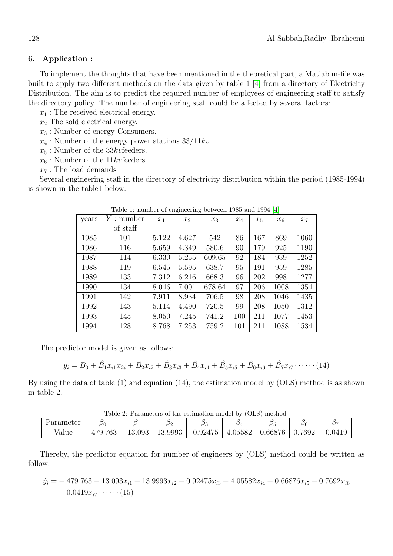# 6. Application :

To implement the thoughts that have been mentioned in the theoretical part, a Matlab m-file was built to apply two different methods on the data given by table 1 [\[4\]](#page-8-2) from a directory of Electricity Distribution. The aim is to predict the required number of employees of engineering staff to satisfy the directory policy. The number of engineering staff could be affected by several factors:

 $x_1$ : The received electrical energy.

 $x_2$  The sold electrical energy.

 $x_3$ : Number of energy Consumers.

 $x_4$ : Number of the energy power stations  $33/11kv$ 

 $x_5$ : Number of the 33kvfeeders.

 $x_6$ : Number of the 11kvfeeders.

 $x_7$ : The load demands

Several engineering staff in the directory of electricity distribution within the period (1985-1994) is shown in the table1 below:

| $\mathcal{L}_{\mathcal{D}}^{\mathcal{L}}$ |                    |       |                |        |       |       |       |       |  |  |
|-------------------------------------------|--------------------|-------|----------------|--------|-------|-------|-------|-------|--|--|
| years                                     | $Y: \text{number}$ | $x_1$ | x <sub>2</sub> | $x_3$  | $x_4$ | $x_5$ | $x_6$ | $x_7$ |  |  |
|                                           | of staff           |       |                |        |       |       |       |       |  |  |
| 1985                                      | 101                | 5.122 | 4.627          | 542    | 86    | 167   | 869   | 1060  |  |  |
| 1986                                      | 116                | 5.659 | 4.349          | 580.6  | 90    | 179   | 925   | 1190  |  |  |
| 1987                                      | 114                | 6.330 | 5.255          | 609.65 | 92    | 184   | 939   | 1252  |  |  |
| 1988                                      | 119                | 6.545 | 5.595          | 638.7  | 95    | 191   | 959   | 1285  |  |  |
| 1989                                      | 133                | 7.312 | 6.216          | 668.3  | 96    | 202   | 998   | 1277  |  |  |
| 1990                                      | 134                | 8.046 | 7.001          | 678.64 | 97    | 206   | 1008  | 1354  |  |  |
| 1991                                      | 142                | 7.911 | 8.934          | 706.5  | 98    | 208   | 1046  | 1435  |  |  |
| 1992                                      | 143                | 5.114 | 4.490          | 720.5  | 99    | 208   | 1050  | 1312  |  |  |
| 1993                                      | 145                | 8.050 | 7.245          | 741.2  | 100   | 211   | 1077  | 1453  |  |  |
| 1994                                      | 128                | 8.768 | 7.253          | 759.2  | 101   | 211   | 1088  | 1534  |  |  |

Table 1: number of engineering between 1985 and 1994 [\[4\]](#page-8-2)

The predictor model is given as follows:

$$
y_i = \hat{B}_0 + \hat{B}_1 x_{i1} x_{2i} + \hat{B}_2 x_{i2} + \hat{B}_3 x_{i3} + \hat{B}_4 x_{i4} + \hat{B}_5 x_{i5} + \hat{B}_6 x_{i6} + \hat{B}_7 x_{i7} \cdots (14)
$$

By using the data of table (1) and equation (14), the estimation model by (OLS) method is as shown in table 2.

Table 2: Parameters of the estimation model by (OLS) method  $\text{Parameter } \begin{array}{|c|c|c|c|c|} \hline \beta_0 & \beta_1 & \beta_2 & \beta_3 & \beta_4 & \beta_5 & \beta_6 & \beta_7 \ \hline \end{array}$ 

Thereby, the predictor equation for number of engineers by (OLS) method could be written as follow:

Value | -479.763 | -13.093 | 13.9993 | -0.92475 | 4.05582 | 0.66876 | 0.7692 | -0.0419

$$
\hat{y}_i = -479.763 - 13.093x_{i1} + 13.9993x_{i2} - 0.92475x_{i3} + 4.05582x_{i4} + 0.66876x_{i5} + 0.7692x_{i6} - 0.0419x_{i7} \cdots \cdots (15)
$$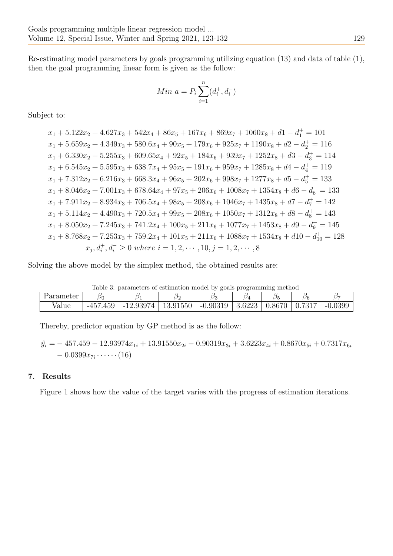Re-estimating model parameters by goals programming utilizing equation (13) and data of table (1), then the goal programming linear form is given as the follow:

Min 
$$
a = P_i \sum_{i=1}^{n} (d_i^+, d_i^-)
$$

Subject to:

 $x_1 + 5.122x_2 + 4.627x_3 + 542x_4 + 86x_5 + 167x_6 + 869x_7 + 1060x_8 + d1 - d_1^+ = 101$  $x_1 + 5.659x_2 + 4.349x_3 + 580.6x_4 + 90x_5 + 179x_6 + 925x_7 + 1190x_8 + d2 - d_2^+ = 116$  $x_1 + 6.330x_2 + 5.255x_3 + 609.65x_4 + 92x_5 + 184x_6 + 939x_7 + 1252x_8 + d3 - d_3^+ = 114$  $x_1 + 6.545x_2 + 5.595x_3 + 638.7x_4 + 95x_5 + 191x_6 + 959x_7 + 1285x_8 + d4 - d_4^+ = 119$  $x_1 + 7.312x_2 + 6.216x_3 + 668.3x_4 + 96x_5 + 202x_6 + 998x_7 + 1277x_8 + d5 - d_5^+ = 133$  $x_1 + 8.046x_2 + 7.001x_3 + 678.64x_4 + 97x_5 + 206x_6 + 1008x_7 + 1354x_8 + d6 - d_6^+ = 133$  $x_1 + 7.911x_2 + 8.934x_3 + 706.5x_4 + 98x_5 + 208x_6 + 1046x_7 + 1435x_8 + d7 - d_7^+ = 142$  $x_1 + 5.114x_2 + 4.490x_3 + 720.5x_4 + 99x_5 + 208x_6 + 1050x_7 + 1312x_8 + d8 - d_8^+ = 143$  $x_1 + 8.050x_2 + 7.245x_3 + 741.2x_4 + 100x_5 + 211x_6 + 1077x_7 + 1453x_8 + d9 - d_9^+ = 145$  $x_1 + 8.768x_2 + 7.253x_3 + 759.2x_4 + 101x_5 + 211x_6 + 1088x_7 + 1534x_8 + d10 - d_{10}^+ = 128$  $x_j, d_i^+, d_i^- \geq 0$  where  $i = 1, 2, \cdots, 10, j = 1, 2, \cdots, 8$ 

Solving the above model by the simplex method, the obtained results are:

Table 3: parameters of estimation model by goals programming method

| Parameter | $\omega_0$                              |                 | 16             |            | $\cup_4$ |                    | JF                 |                |
|-----------|-----------------------------------------|-----------------|----------------|------------|----------|--------------------|--------------------|----------------|
| value     | $1 \times \Omega$<br>45.Y<br>-45<br>まりご | 12.9397<br>$-1$ | .91550<br>10.Y | $-0.90319$ | 3.6223   | J.867 <sup>c</sup> | $-01$<br>V . I U I | 0.0399<br>$-1$ |

Thereby, predictor equation by GP method is as the follow:

$$
\hat{y}_i = -457.459 - 12.93974x_{1i} + 13.91550x_{2i} - 0.90319x_{3i} + 3.6223x_{4i} + 0.8670x_{5i} + 0.7317x_{6i} - 0.0399x_{7i} \cdots \cdots (16)
$$

# 7. Results

Figure 1 shows how the value of the target varies with the progress of estimation iterations.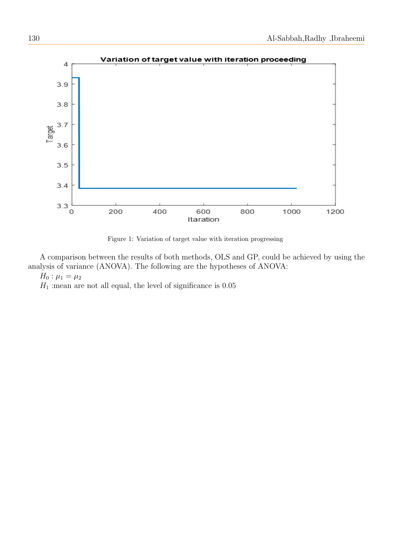

Figure 1: Variation of target value with iteration progressing

A comparison between the results of both methods, OLS and GP, could be achieved by using the analysis of variance (ANOVA). The following are the hypotheses of ANOVA:

 $H_0: \mu_1 = \mu_2$ 

 $H_1$  : mean are not all equal, the level of significance is 0.05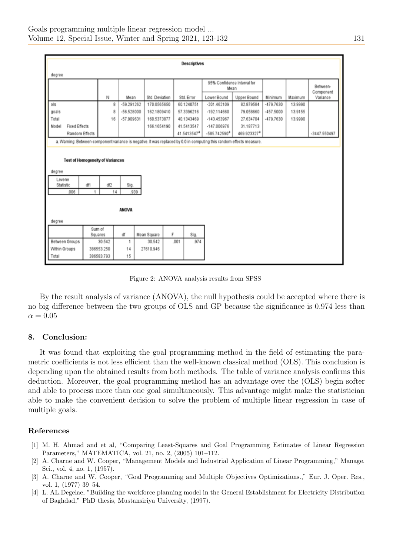| <b>Descriptives</b>                                                                                                  |         |            |              |                               |      |                          |                                     |                          |                        |         |                |
|----------------------------------------------------------------------------------------------------------------------|---------|------------|--------------|-------------------------------|------|--------------------------|-------------------------------------|--------------------------|------------------------|---------|----------------|
|                                                                                                                      |         |            |              |                               |      |                          |                                     |                          |                        |         |                |
| degree                                                                                                               |         |            |              |                               |      |                          |                                     |                          |                        |         |                |
|                                                                                                                      |         |            |              |                               |      |                          | 95% Confidence Interval for<br>Mean |                          |                        |         | Between-       |
|                                                                                                                      |         |            | Mean         |                               |      |                          | Lower Bound                         |                          |                        | Maximum | Component      |
| ols                                                                                                                  |         | Ν<br>8     | $-59.291262$ | Std. Deviation<br>170.0565650 |      | Std. Error<br>60.1240751 | $-201.462109$                       | Upper Bound<br>82.879584 | Minimum<br>$-479.7630$ | 13,9990 | Variance       |
| goals                                                                                                                |         | 8          | $-56.528000$ | 162.1809410                   |      | 57.3396216               | $-192.114660$                       | 79.058660                | $-457.5000$            | 13.9155 |                |
| Total                                                                                                                |         | 16         | $-57.909631$ | 160.5373877                   |      | 40.1343469               | $-143.453967$                       | 27.634704                | $-479.7630$            | 13.9990 |                |
| <b>Fixed Effects</b><br>Model                                                                                        |         |            |              | 166.1654190                   |      | 41.5413547               | $-147.006976$                       | 31.187713                |                        |         |                |
|                                                                                                                      |         |            |              |                               |      | 41.5413547 <sup>a</sup>  | $-585.742590$ <sup>a</sup>          | 469.923327ª              |                        |         | $-3447.550497$ |
| Random Effects                                                                                                       |         |            |              |                               |      |                          |                                     |                          |                        |         |                |
| a. Warning: Between-component variance is negative. It was replaced by 0.0 in computing this random effects measure. |         |            |              |                               |      |                          |                                     |                          |                        |         |                |
|                                                                                                                      |         |            |              |                               |      |                          |                                     |                          |                        |         |                |
| <b>Test of Homogeneity of Variances</b>                                                                              |         |            |              |                               |      |                          |                                     |                          |                        |         |                |
| degree                                                                                                               |         |            |              |                               |      |                          |                                     |                          |                        |         |                |
| Levene                                                                                                               |         |            |              |                               |      |                          |                                     |                          |                        |         |                |
| Statistic                                                                                                            | df1     | df2        | Sig.         |                               |      |                          |                                     |                          |                        |         |                |
| .006                                                                                                                 | 1       | 14         | .939         |                               |      |                          |                                     |                          |                        |         |                |
|                                                                                                                      |         |            |              |                               |      |                          |                                     |                          |                        |         |                |
|                                                                                                                      |         |            |              |                               |      |                          |                                     |                          |                        |         |                |
| <b>ANOVA</b>                                                                                                         |         |            |              |                               |      |                          |                                     |                          |                        |         |                |
| degree                                                                                                               |         |            |              |                               |      |                          |                                     |                          |                        |         |                |
| Sum of                                                                                                               |         |            |              |                               |      |                          |                                     |                          |                        |         |                |
|                                                                                                                      | Squares |            | df           | Mean Square                   | F    | Sig.                     |                                     |                          |                        |         |                |
| Between Groups                                                                                                       |         | 30.542     | 1            | 30.542                        | .001 | .974                     |                                     |                          |                        |         |                |
| Within Groups                                                                                                        |         | 386553.250 | 14           | 27610.946                     |      |                          |                                     |                          |                        |         |                |
| Total                                                                                                                |         | 386583.793 | 15           |                               |      |                          |                                     |                          |                        |         |                |

Figure 2: ANOVA analysis results from SPSS

By the result analysis of variance (ANOVA), the null hypothesis could be accepted where there is no big difference between the two groups of OLS and GP because the significance is 0.974 less than  $\alpha = 0.05$ 

# 8. Conclusion:

It was found that exploiting the goal programming method in the field of estimating the parametric coefficients is not less efficient than the well-known classical method (OLS). This conclusion is depending upon the obtained results from both methods. The table of variance analysis confirms this deduction. Moreover, the goal programming method has an advantage over the (OLS) begin softer and able to process more than one goal simultaneously. This advantage might make the statistician able to make the convenient decision to solve the problem of multiple linear regression in case of multiple goals.

# References

- <span id="page-8-3"></span>[1] M. H. Ahmad and et al, "Comparing Least-Squares and Goal Programming Estimates of Linear Regression Parameters," MATEMATICA, vol. 21, no. 2, (2005) 101–112.
- <span id="page-8-0"></span>[2] A. Charne and W. Cooper, "Management Models and Industrial Application of Linear Programming," Manage. Sci., vol. 4, no. 1, (1957).
- <span id="page-8-1"></span>[3] A. Charne and W. Cooper, "Goal Programming and Multiple Objectives Optimizations.," Eur. J. Oper. Res., vol. 1, (1977) 39–54.
- <span id="page-8-2"></span>[4] L. AL.Degelae, "Building the workforce planning model in the General Establishment for Electricity Distribution of Baghdad," PhD thesis, Mustansiriya University, (1997).